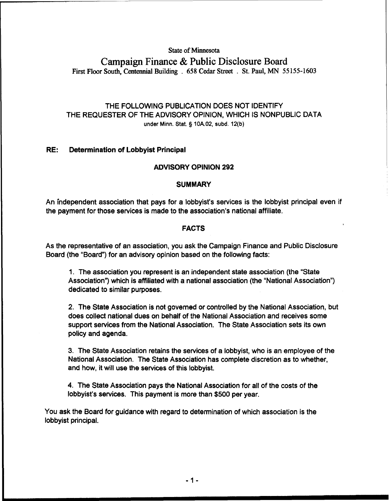# **State of Minnesota**

**Campaign Finance** & **Public Disclosure Board First Floor South, Centennial Building** . **658 Cedar Street** . **St. Paul, MN 55 155-1603** 

# THE FOLLOWING PUBLICATION DOES NOT IDENTIFY THE REQUESTER OF THE ADVISORY OPINION, WHICH IS NONPUBLIC DATA **under Minn.** Stat. **5 10A.02, subd. 12(b)**

# **RE: Determination of Lobbyist Principal**

# **ADVISORY OPINION 292**

#### **SUMMARY**

An independent association that pays for a lobbyist's services is the lobbyist principal even if the payment for those services is made to the association's national affiliate.

#### **FACTS**

As the representative of an association, you ask the Campaign Finance and Public Disclosure Board (the "Board") for an advisory opinion based on the following facts:

1. The association you represent is an independent state association (the "State Association") which is affiliated with a national association (the "National Association") dedicated to similar purposes.

2. The State Association is not governed or controlled by the National Association, but does collect national dues on behalf of the National Association and receives some support services from the National Association. The State Association sets its own policy and agenda.

3. The State Association retains the services of a lobbyist, who is an employee of the National Association. The State Association has complete discretion as to whether, and how, it will use the services of this lobbyist.

4. The State Association pays the National Association for all of the costs of the lobbyist's services. This payment is more than \$500 per year.

You ask the Board for guidance with regard to determination of which association is the lobbyist principal.